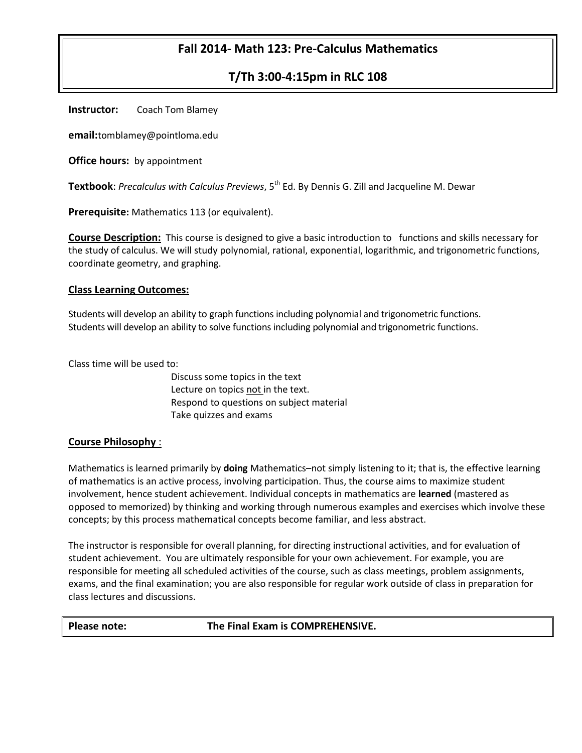# **Fall 2014- Math 123: Pre-Calculus Mathematics**

# **T/Th 3:00-4:15pm in RLC 108**

**Instructor:** Coach Tom Blamey

**email:**tomblamey@pointloma.edu

**Office hours:** by appointment

**Textbook**: *Precalculus with Calculus Previews*, 5<sup>th</sup> Ed. By Dennis G. Zill and Jacqueline M. Dewar

**Prerequisite:** Mathematics 113 (or equivalent).

**Course Description:** This course is designed to give a basic introduction to functions and skills necessary for the study of calculus. We will study polynomial, rational, exponential, logarithmic, and trigonometric functions, coordinate geometry, and graphing.

#### **Class Learning Outcomes:**

Students will develop an ability to graph functions including polynomial and trigonometric functions. Students will develop an ability to solve functions including polynomial and trigonometric functions.

Class time will be used to:

Discuss some topics in the text Lecture on topics not in the text. Respond to questions on subject material Take quizzes and exams

#### **Course Philosophy** :

Mathematics is learned primarily by **doing** Mathematics–not simply listening to it; that is, the effective learning of mathematics is an active process, involving participation. Thus, the course aims to maximize student involvement, hence student achievement. Individual concepts in mathematics are **learned** (mastered as opposed to memorized) by thinking and working through numerous examples and exercises which involve these concepts; by this process mathematical concepts become familiar, and less abstract.

The instructor is responsible for overall planning, for directing instructional activities, and for evaluation of student achievement. You are ultimately responsible for your own achievement. For example, you are responsible for meeting all scheduled activities of the course, such as class meetings, problem assignments, exams, and the final examination; you are also responsible for regular work outside of class in preparation for class lectures and discussions.

#### **Please note: The Final Exam is COMPREHENSIVE.**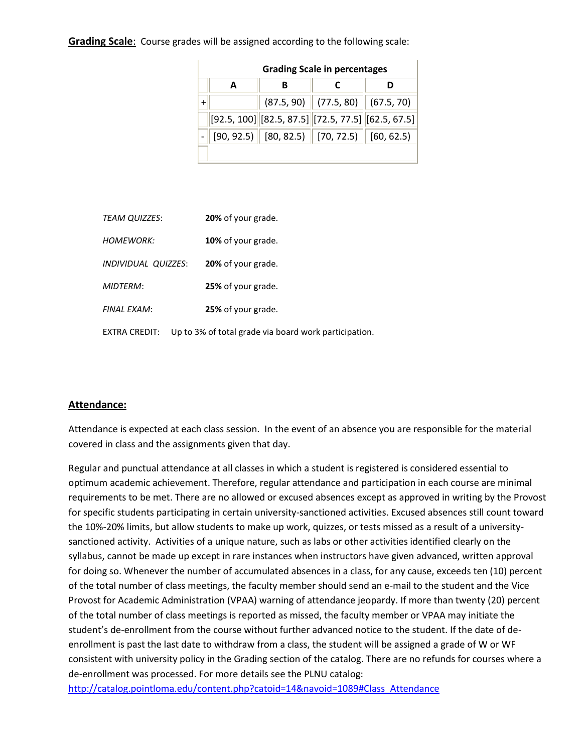**Grading Scale**: Course grades will be assigned according to the following scale:

|           | <b>Grading Scale in percentages</b> |  |                                                      |  |  |  |  |  |  |
|-----------|-------------------------------------|--|------------------------------------------------------|--|--|--|--|--|--|
|           | А                                   |  |                                                      |  |  |  |  |  |  |
| $\ddot{}$ |                                     |  | $(87.5, 90)$ (77.5, 80) (67.5, 70)                   |  |  |  |  |  |  |
|           |                                     |  | $[92.5, 100]$ [82.5, 87.5] [72.5, 77.5] [62.5, 67.5] |  |  |  |  |  |  |
|           |                                     |  | $[90, 92.5]$ $[80, 82.5]$ $[70, 72.5]$ $[60, 62.5]$  |  |  |  |  |  |  |
|           |                                     |  |                                                      |  |  |  |  |  |  |

|           | <i><b>TEAM QUIZZES:</b></i>       | 20% of your grade.                                    |  |  |
|-----------|-----------------------------------|-------------------------------------------------------|--|--|
| HOMFWORK: |                                   | 10% of your grade.                                    |  |  |
|           | <i><b>INDIVIDUAL QUIZZES:</b></i> | 20% of your grade.                                    |  |  |
|           | <b>MIDTFRM:</b>                   | 25% of your grade.                                    |  |  |
|           | FINAL FXAM:                       | 25% of your grade.                                    |  |  |
|           | EXTRA CREDIT:                     | Up to 3% of total grade via board work participation. |  |  |

### **Attendance:**

Attendance is expected at each class session. In the event of an absence you are responsible for the material covered in class and the assignments given that day.

Regular and punctual attendance at all classes in which a student is registered is considered essential to optimum academic achievement. Therefore, regular attendance and participation in each course are minimal requirements to be met. There are no allowed or excused absences except as approved in writing by the Provost for specific students participating in certain university-sanctioned activities. Excused absences still count toward the 10%-20% limits, but allow students to make up work, quizzes, or tests missed as a result of a universitysanctioned activity. Activities of a unique nature, such as labs or other activities identified clearly on the syllabus, cannot be made up except in rare instances when instructors have given advanced, written approval for doing so. Whenever the number of accumulated absences in a class, for any cause, exceeds ten (10) percent of the total number of class meetings, the faculty member should send an e-mail to the student and the Vice Provost for Academic Administration (VPAA) warning of attendance jeopardy. If more than twenty (20) percent of the total number of class meetings is reported as missed, the faculty member or VPAA may initiate the student's de-enrollment from the course without further advanced notice to the student. If the date of deenrollment is past the last date to withdraw from a class, the student will be assigned a grade of W or WF consistent with university policy in the Grading section of the catalog. There are no refunds for courses where a de-enrollment was processed. For more details see the PLNU catalog:

[http://catalog.pointloma.edu/content.php?catoid=14&navoid=1089#Class\\_Attendance](http://catalog.pointloma.edu/content.php?catoid=14&navoid=1089#Class_Attendance)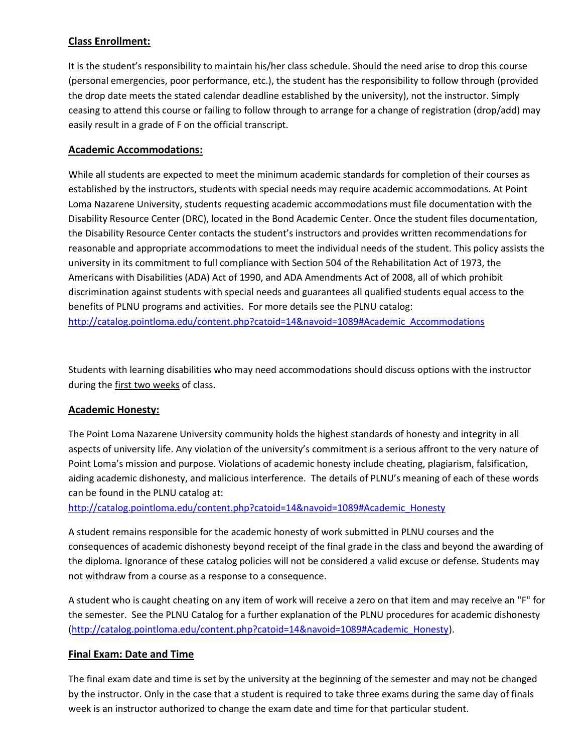# **Class Enrollment:**

It is the student's responsibility to maintain his/her class schedule. Should the need arise to drop this course (personal emergencies, poor performance, etc.), the student has the responsibility to follow through (provided the drop date meets the stated calendar deadline established by the university), not the instructor. Simply ceasing to attend this course or failing to follow through to arrange for a change of registration (drop/add) may easily result in a grade of F on the official transcript.

### **Academic Accommodations:**

While all students are expected to meet the minimum academic standards for completion of their courses as established by the instructors, students with special needs may require academic accommodations. At Point Loma Nazarene University, students requesting academic accommodations must file documentation with the Disability Resource Center (DRC), located in the Bond Academic Center. Once the student files documentation, the Disability Resource Center contacts the student's instructors and provides written recommendations for reasonable and appropriate accommodations to meet the individual needs of the student. This policy assists the university in its commitment to full compliance with Section 504 of the Rehabilitation Act of 1973, the Americans with Disabilities (ADA) Act of 1990, and ADA Amendments Act of 2008, all of which prohibit discrimination against students with special needs and guarantees all qualified students equal access to the benefits of PLNU programs and activities. For more details see the PLNU catalog: [http://catalog.pointloma.edu/content.php?catoid=14&navoid=1089#Academic\\_Accommodations](http://catalog.pointloma.edu/content.php?catoid=14&navoid=1089#Academic_Accommodations)

Students with learning disabilities who may need accommodations should discuss options with the instructor during the first two weeks of class.

### **Academic Honesty:**

The Point Loma Nazarene University community holds the highest standards of honesty and integrity in all aspects of university life. Any violation of the university's commitment is a serious affront to the very nature of Point Loma's mission and purpose. Violations of academic honesty include cheating, plagiarism, falsification, aiding academic dishonesty, and malicious interference. The details of PLNU's meaning of each of these words can be found in the PLNU catalog at:

[http://catalog.pointloma.edu/content.php?catoid=14&navoid=1089#Academic\\_Honesty](http://catalog.pointloma.edu/content.php?catoid=14&navoid=1089#Academic_Honesty)

A student remains responsible for the academic honesty of work submitted in PLNU courses and the consequences of academic dishonesty beyond receipt of the final grade in the class and beyond the awarding of the diploma. Ignorance of these catalog policies will not be considered a valid excuse or defense. Students may not withdraw from a course as a response to a consequence.

A student who is caught cheating on any item of work will receive a zero on that item and may receive an "F" for the semester. See the PLNU Catalog for a further explanation of the PLNU procedures for academic dishonesty [\(http://catalog.pointloma.edu/content.php?catoid=14&navoid=1089#Academic\\_Honesty\)](http://catalog.pointloma.edu/content.php?catoid=14&navoid=1089#Academic_Honesty).

### **Final Exam: Date and Time**

The final exam date and time is set by the university at the beginning of the semester and may not be changed by the instructor. Only in the case that a student is required to take three exams during the same day of finals week is an instructor authorized to change the exam date and time for that particular student.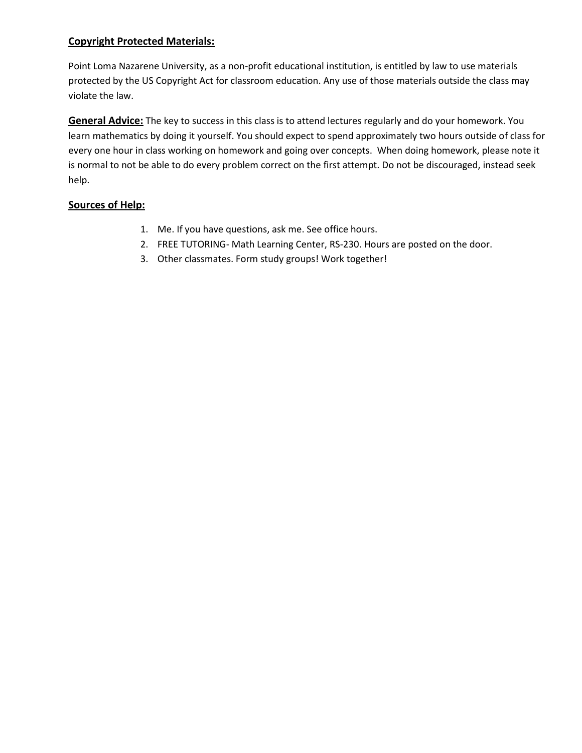# **Copyright Protected Materials:**

Point Loma Nazarene University, as a non-profit educational institution, is entitled by law to use materials protected by the US Copyright Act for classroom education. Any use of those materials outside the class may violate the law.

**General Advice:** The key to success in this class is to attend lectures regularly and do your homework. You learn mathematics by doing it yourself. You should expect to spend approximately two hours outside of class for every one hour in class working on homework and going over concepts. When doing homework, please note it is normal to not be able to do every problem correct on the first attempt. Do not be discouraged, instead seek help.

### **Sources of Help:**

- 1. Me. If you have questions, ask me. See office hours.
- 2. FREE TUTORING- Math Learning Center, RS-230. Hours are posted on the door.
- 3. Other classmates. Form study groups! Work together!